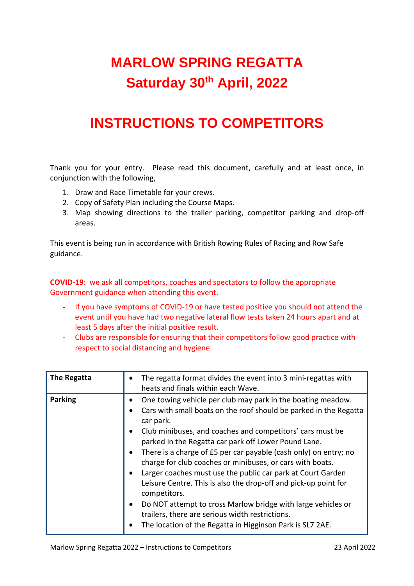## **MARLOW SPRING REGATTA Saturday 30th April, 2022**

## **INSTRUCTIONS TO COMPETITORS**

Thank you for your entry. Please read this document, carefully and at least once, in conjunction with the following,

- 1. Draw and Race Timetable for your crews.
- 2. Copy of Safety Plan including the Course Maps.
- 3. Map showing directions to the trailer parking, competitor parking and drop-off areas.

This event is being run in accordance with British Rowing Rules of Racing and Row Safe guidance.

**COVID-19**: we ask all competitors, coaches and spectators to follow the appropriate Government guidance when attending this event.

- If you have symptoms of COVID-19 or have tested positive you should not attend the event until you have had two negative lateral flow tests taken 24 hours apart and at least 5 days after the initial positive result.
- Clubs are responsible for ensuring that their competitors follow good practice with respect to social distancing and hygiene.

| The Regatta    | The regatta format divides the event into 3 mini-regattas with<br>heats and finals within each Wave.                                                                                                                                                                                                                                                                                                                                                                                                                                                                                                                                                                                                                                  |
|----------------|---------------------------------------------------------------------------------------------------------------------------------------------------------------------------------------------------------------------------------------------------------------------------------------------------------------------------------------------------------------------------------------------------------------------------------------------------------------------------------------------------------------------------------------------------------------------------------------------------------------------------------------------------------------------------------------------------------------------------------------|
| <b>Parking</b> | One towing vehicle per club may park in the boating meadow.<br>Cars with small boats on the roof should be parked in the Regatta<br>car park.<br>Club minibuses, and coaches and competitors' cars must be<br>parked in the Regatta car park off Lower Pound Lane.<br>There is a charge of £5 per car payable (cash only) on entry; no<br>charge for club coaches or minibuses, or cars with boats.<br>Larger coaches must use the public car park at Court Garden<br>Leisure Centre. This is also the drop-off and pick-up point for<br>competitors.<br>Do NOT attempt to cross Marlow bridge with large vehicles or<br>trailers, there are serious width restrictions.<br>The location of the Regatta in Higginson Park is SL7 2AE. |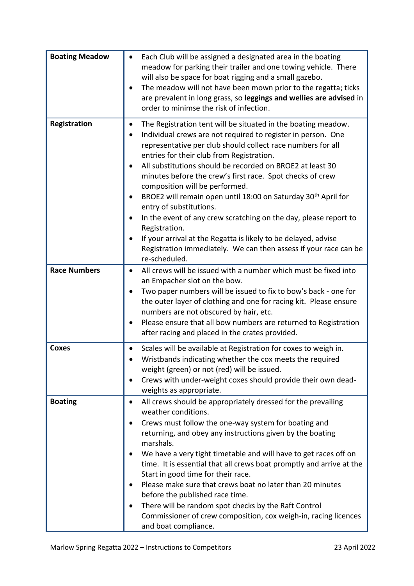| <b>Boating Meadow</b> | Each Club will be assigned a designated area in the boating<br>meadow for parking their trailer and one towing vehicle. There<br>will also be space for boat rigging and a small gazebo.<br>The meadow will not have been mown prior to the regatta; ticks<br>are prevalent in long grass, so leggings and wellies are advised in<br>order to minimse the risk of infection.                                                                                                                                                                                                                                                                                                                                                                                   |
|-----------------------|----------------------------------------------------------------------------------------------------------------------------------------------------------------------------------------------------------------------------------------------------------------------------------------------------------------------------------------------------------------------------------------------------------------------------------------------------------------------------------------------------------------------------------------------------------------------------------------------------------------------------------------------------------------------------------------------------------------------------------------------------------------|
| Registration          | The Registration tent will be situated in the boating meadow.<br>Individual crews are not required to register in person. One<br>٠<br>representative per club should collect race numbers for all<br>entries for their club from Registration.<br>All substitutions should be recorded on BROE2 at least 30<br>minutes before the crew's first race. Spot checks of crew<br>composition will be performed.<br>BROE2 will remain open until 18:00 on Saturday 30 <sup>th</sup> April for<br>entry of substitutions.<br>In the event of any crew scratching on the day, please report to<br>Registration.<br>If your arrival at the Regatta is likely to be delayed, advise<br>Registration immediately. We can then assess if your race can be<br>re-scheduled. |
| <b>Race Numbers</b>   | All crews will be issued with a number which must be fixed into<br>an Empacher slot on the bow.<br>Two paper numbers will be issued to fix to bow's back - one for<br>the outer layer of clothing and one for racing kit. Please ensure<br>numbers are not obscured by hair, etc.<br>Please ensure that all bow numbers are returned to Registration<br>after racing and placed in the crates provided.                                                                                                                                                                                                                                                                                                                                                        |
| <b>Coxes</b>          | Scales will be available at Registration for coxes to weigh in.<br>Wristbands indicating whether the cox meets the required<br>weight (green) or not (red) will be issued.<br>Crews with under-weight coxes should provide their own dead-<br>weights as appropriate.                                                                                                                                                                                                                                                                                                                                                                                                                                                                                          |
| <b>Boating</b>        | All crews should be appropriately dressed for the prevailing<br>weather conditions.<br>Crews must follow the one-way system for boating and<br>returning, and obey any instructions given by the boating<br>marshals.<br>We have a very tight timetable and will have to get races off on<br>time. It is essential that all crews boat promptly and arrive at the<br>Start in good time for their race.<br>Please make sure that crews boat no later than 20 minutes<br>before the published race time.<br>There will be random spot checks by the Raft Control<br>Commissioner of crew composition, cox weigh-in, racing licences<br>and boat compliance.                                                                                                     |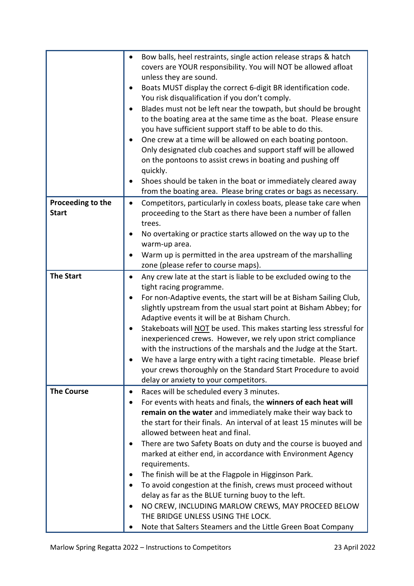|                   | Bow balls, heel restraints, single action release straps & hatch                                                 |  |  |  |
|-------------------|------------------------------------------------------------------------------------------------------------------|--|--|--|
|                   | covers are YOUR responsibility. You will NOT be allowed afloat                                                   |  |  |  |
|                   | unless they are sound.                                                                                           |  |  |  |
|                   | Boats MUST display the correct 6-digit BR identification code.<br>You risk disqualification if you don't comply. |  |  |  |
|                   |                                                                                                                  |  |  |  |
|                   | Blades must not be left near the towpath, but should be brought                                                  |  |  |  |
|                   | to the boating area at the same time as the boat. Please ensure                                                  |  |  |  |
|                   | you have sufficient support staff to be able to do this.                                                         |  |  |  |
|                   | One crew at a time will be allowed on each boating pontoon.                                                      |  |  |  |
|                   | Only designated club coaches and support staff will be allowed                                                   |  |  |  |
|                   | on the pontoons to assist crews in boating and pushing off<br>quickly.                                           |  |  |  |
|                   | Shoes should be taken in the boat or immediately cleared away                                                    |  |  |  |
|                   | from the boating area. Please bring crates or bags as necessary.                                                 |  |  |  |
| Proceeding to the |                                                                                                                  |  |  |  |
| <b>Start</b>      | Competitors, particularly in coxless boats, please take care when<br>٠                                           |  |  |  |
|                   | proceeding to the Start as there have been a number of fallen<br>trees.                                          |  |  |  |
|                   | No overtaking or practice starts allowed on the way up to the                                                    |  |  |  |
|                   | warm-up area.                                                                                                    |  |  |  |
|                   | Warm up is permitted in the area upstream of the marshalling                                                     |  |  |  |
|                   | zone (please refer to course maps).                                                                              |  |  |  |
| <b>The Start</b>  | Any crew late at the start is liable to be excluded owing to the                                                 |  |  |  |
|                   | tight racing programme.                                                                                          |  |  |  |
|                   | For non-Adaptive events, the start will be at Bisham Sailing Club,                                               |  |  |  |
|                   | slightly upstream from the usual start point at Bisham Abbey; for                                                |  |  |  |
|                   | Adaptive events it will be at Bisham Church.                                                                     |  |  |  |
|                   | Stakeboats will NOT be used. This makes starting less stressful for                                              |  |  |  |
|                   | inexperienced crews. However, we rely upon strict compliance                                                     |  |  |  |
|                   | with the instructions of the marshals and the Judge at the Start.                                                |  |  |  |
|                   | We have a large entry with a tight racing timetable. Please brief                                                |  |  |  |
|                   | your crews thoroughly on the Standard Start Procedure to avoid                                                   |  |  |  |
|                   | delay or anxiety to your competitors.                                                                            |  |  |  |
| <b>The Course</b> | Races will be scheduled every 3 minutes.<br>٠                                                                    |  |  |  |
|                   | For events with heats and finals, the winners of each heat will                                                  |  |  |  |
|                   | remain on the water and immediately make their way back to                                                       |  |  |  |
|                   | the start for their finals. An interval of at least 15 minutes will be                                           |  |  |  |
|                   | allowed between heat and final.                                                                                  |  |  |  |
|                   | There are two Safety Boats on duty and the course is buoyed and                                                  |  |  |  |
|                   | marked at either end, in accordance with Environment Agency                                                      |  |  |  |
|                   | requirements.                                                                                                    |  |  |  |
|                   | The finish will be at the Flagpole in Higginson Park.<br>٠                                                       |  |  |  |
|                   | To avoid congestion at the finish, crews must proceed without                                                    |  |  |  |
|                   | delay as far as the BLUE turning buoy to the left.                                                               |  |  |  |
|                   | NO CREW, INCLUDING MARLOW CREWS, MAY PROCEED BELOW<br>THE BRIDGE UNLESS USING THE LOCK.                          |  |  |  |
|                   | Note that Salters Steamers and the Little Green Boat Company                                                     |  |  |  |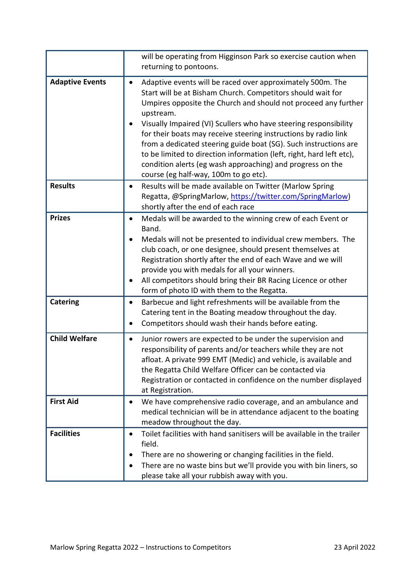|                        | will be operating from Higginson Park so exercise caution when<br>returning to pontoons.                                                                                                                                                                                                                                                                                                                                                                                                                                                                                                           |
|------------------------|----------------------------------------------------------------------------------------------------------------------------------------------------------------------------------------------------------------------------------------------------------------------------------------------------------------------------------------------------------------------------------------------------------------------------------------------------------------------------------------------------------------------------------------------------------------------------------------------------|
| <b>Adaptive Events</b> | Adaptive events will be raced over approximately 500m. The<br>Start will be at Bisham Church. Competitors should wait for<br>Umpires opposite the Church and should not proceed any further<br>upstream.<br>Visually Impaired (VI) Scullers who have steering responsibility<br>for their boats may receive steering instructions by radio link<br>from a dedicated steering guide boat (SG). Such instructions are<br>to be limited to direction information (left, right, hard left etc),<br>condition alerts (eg wash approaching) and progress on the<br>course (eg half-way, 100m to go etc). |
| <b>Results</b>         | Results will be made available on Twitter (Marlow Spring<br>Regatta, @SpringMarlow, https://twitter.com/SpringMarlow)<br>shortly after the end of each race                                                                                                                                                                                                                                                                                                                                                                                                                                        |
| <b>Prizes</b>          | Medals will be awarded to the winning crew of each Event or<br>$\bullet$<br>Band.<br>Medals will not be presented to individual crew members. The<br>club coach, or one designee, should present themselves at<br>Registration shortly after the end of each Wave and we will<br>provide you with medals for all your winners.<br>All competitors should bring their BR Racing Licence or other<br>form of photo ID with them to the Regatta.                                                                                                                                                      |
| <b>Catering</b>        | Barbecue and light refreshments will be available from the<br>٠<br>Catering tent in the Boating meadow throughout the day.<br>Competitors should wash their hands before eating.                                                                                                                                                                                                                                                                                                                                                                                                                   |
| <b>Child Welfare</b>   | Junior rowers are expected to be under the supervision and<br>responsibility of parents and/or teachers while they are not<br>afloat. A private 999 EMT (Medic) and vehicle, is available and<br>the Regatta Child Welfare Officer can be contacted via<br>Registration or contacted in confidence on the number displayed<br>at Registration.                                                                                                                                                                                                                                                     |
| <b>First Aid</b>       | We have comprehensive radio coverage, and an ambulance and<br>medical technician will be in attendance adjacent to the boating<br>meadow throughout the day.                                                                                                                                                                                                                                                                                                                                                                                                                                       |
| <b>Facilities</b>      | Toilet facilities with hand sanitisers will be available in the trailer<br>field.<br>There are no showering or changing facilities in the field.<br>There are no waste bins but we'll provide you with bin liners, so<br>please take all your rubbish away with you.                                                                                                                                                                                                                                                                                                                               |